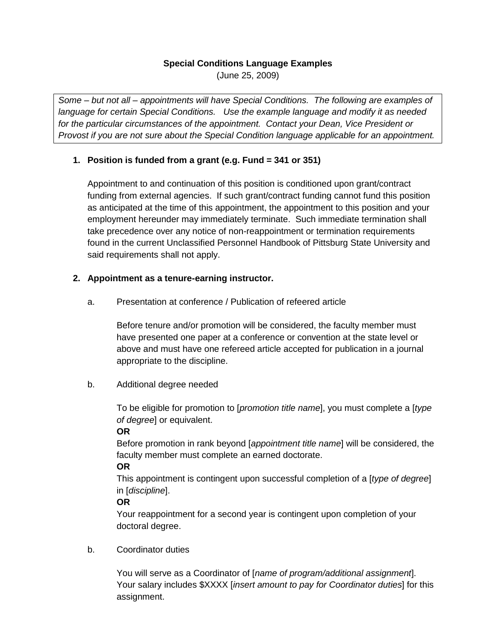#### **Special Conditions Language Examples**

(June 25, 2009)

*Some – but not all – appointments will have Special Conditions. The following are examples of language for certain Special Conditions. Use the example language and modify it as needed for the particular circumstances of the appointment. Contact your Dean, Vice President or Provost if you are not sure about the Special Condition language applicable for an appointment.*

# **1. Position is funded from a grant (e.g. Fund = 341 or 351)**

Appointment to and continuation of this position is conditioned upon grant/contract funding from external agencies. If such grant/contract funding cannot fund this position as anticipated at the time of this appointment, the appointment to this position and your employment hereunder may immediately terminate. Such immediate termination shall take precedence over any notice of non-reappointment or termination requirements found in the current Unclassified Personnel Handbook of Pittsburg State University and said requirements shall not apply.

# **2. Appointment as a tenure-earning instructor.**

a. Presentation at conference / Publication of refeered article

Before tenure and/or promotion will be considered, the faculty member must have presented one paper at a conference or convention at the state level or above and must have one refereed article accepted for publication in a journal appropriate to the discipline.

b. Additional degree needed

To be eligible for promotion to [*promotion title name*], you must complete a [*type of degree*] or equivalent.

# **OR**

Before promotion in rank beyond [*appointment title name*] will be considered, the faculty member must complete an earned doctorate.

# **OR**

This appointment is contingent upon successful completion of a [*type of degree*] in [*discipline*].

# **OR**

Your reappointment for a second year is contingent upon completion of your doctoral degree.

# b. Coordinator duties

You will serve as a Coordinator of [*name of program/additional assignment*]. Your salary includes \$XXXX [*insert amount to pay for Coordinator duties*] for this assignment.